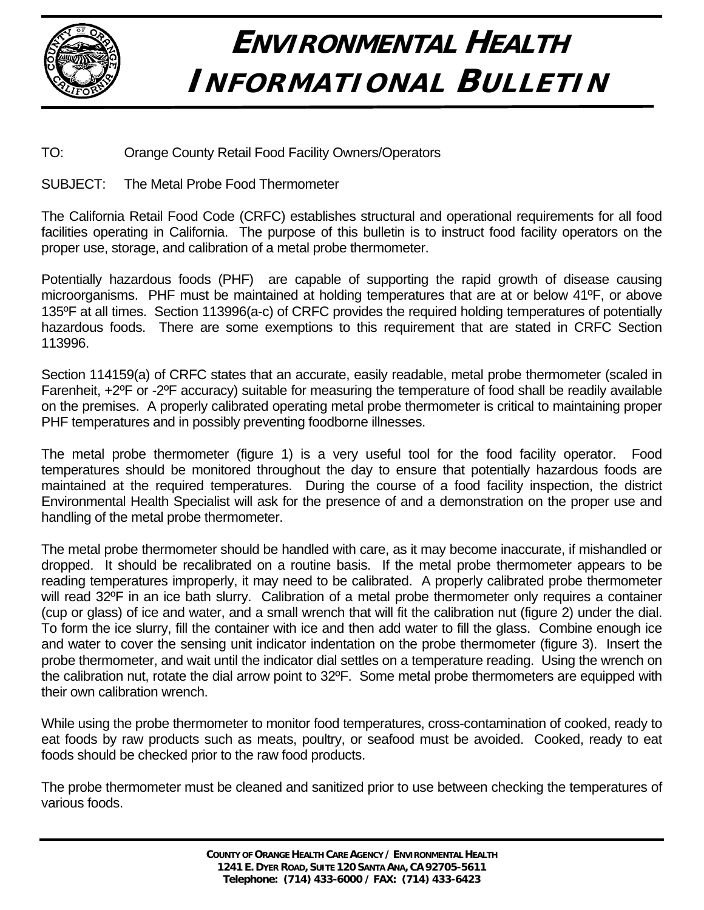

## **ENVIRONMENTAL HEALTH INFORMATIONAL BULLETIN**

## TO: Orange County Retail Food Facility Owners/Operators

## SUBJECT: The Metal Probe Food Thermometer

The California Retail Food Code (CRFC) establishes structural and operational requirements for all food facilities operating in California. The purpose of this bulletin is to instruct food facility operators on the proper use, storage, and calibration of a metal probe thermometer.

Potentially hazardous foods (PHF) are capable of supporting the rapid growth of disease causing microorganisms. PHF must be maintained at holding temperatures that are at or below 41ºF, or above 135ºF at all times. Section 113996(a-c) of CRFC provides the required holding temperatures of potentially hazardous foods. There are some exemptions to this requirement that are stated in CRFC Section 113996.

Section 114159(a) of CRFC states that an accurate, easily readable, metal probe thermometer (scaled in Farenheit, +2ºF or -2ºF accuracy) suitable for measuring the temperature of food shall be readily available on the premises. A properly calibrated operating metal probe thermometer is critical to maintaining proper PHF temperatures and in possibly preventing foodborne illnesses.

The metal probe thermometer (figure 1) is a very useful tool for the food facility operator. Food temperatures should be monitored throughout the day to ensure that potentially hazardous foods are maintained at the required temperatures. During the course of a food facility inspection, the district Environmental Health Specialist will ask for the presence of and a demonstration on the proper use and handling of the metal probe thermometer.

The metal probe thermometer should be handled with care, as it may become inaccurate, if mishandled or dropped. It should be recalibrated on a routine basis. If the metal probe thermometer appears to be reading temperatures improperly, it may need to be calibrated. A properly calibrated probe thermometer will read 32°F in an ice bath slurry. Calibration of a metal probe thermometer only requires a container (cup or glass) of ice and water, and a small wrench that will fit the calibration nut (figure 2) under the dial. To form the ice slurry, fill the container with ice and then add water to fill the glass. Combine enough ice and water to cover the sensing unit indicator indentation on the probe thermometer (figure 3). Insert the probe thermometer, and wait until the indicator dial settles on a temperature reading. Using the wrench on the calibration nut, rotate the dial arrow point to 32ºF. Some metal probe thermometers are equipped with their own calibration wrench.

While using the probe thermometer to monitor food temperatures, cross-contamination of cooked, ready to eat foods by raw products such as meats, poultry, or seafood must be avoided. Cooked, ready to eat foods should be checked prior to the raw food products.

The probe thermometer must be cleaned and sanitized prior to use between checking the temperatures of various foods.